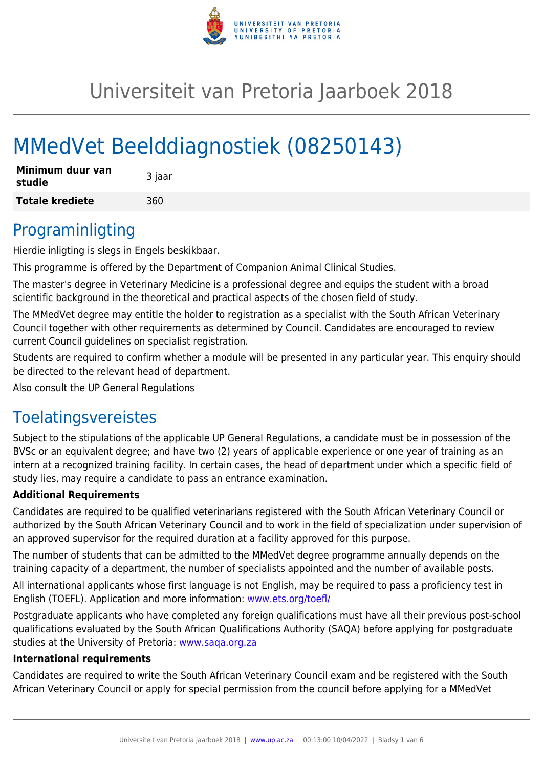

# Universiteit van Pretoria Jaarboek 2018

# MMedVet Beelddiagnostiek (08250143)

| Minimum duur van<br>studie | 3 jaar |
|----------------------------|--------|
| <b>Totale krediete</b>     | 360    |

### Programinligting

Hierdie inligting is slegs in Engels beskikbaar.

This programme is offered by the Department of Companion Animal Clinical Studies.

The master's degree in Veterinary Medicine is a professional degree and equips the student with a broad scientific background in the theoretical and practical aspects of the chosen field of study.

The MMedVet degree may entitle the holder to registration as a specialist with the South African Veterinary Council together with other requirements as determined by Council. Candidates are encouraged to review current Council guidelines on specialist registration.

Students are required to confirm whether a module will be presented in any particular year. This enquiry should be directed to the relevant head of department.

Also consult the UP General Regulations

### Toelatingsvereistes

Subject to the stipulations of the applicable UP General Regulations, a candidate must be in possession of the BVSc or an equivalent degree; and have two (2) years of applicable experience or one year of training as an intern at a recognized training facility. In certain cases, the head of department under which a specific field of study lies, may require a candidate to pass an entrance examination.

#### **Additional Requirements**

Candidates are required to be qualified veterinarians registered with the South African Veterinary Council or authorized by the South African Veterinary Council and to work in the field of specialization under supervision of an approved supervisor for the required duration at a facility approved for this purpose.

The number of students that can be admitted to the MMedVet degree programme annually depends on the training capacity of a department, the number of specialists appointed and the number of available posts.

All international applicants whose first language is not English, may be required to pass a proficiency test in English (TOEFL). Application and more information: [www.ets.org/toefl/](http://www.ets.org/toefl/)

Postgraduate applicants who have completed any foreign qualifications must have all their previous post-school qualifications evaluated by the South African Qualifications Authority (SAQA) before applying for postgraduate studies at the University of Pretoria: [www.saqa.org.za](http://www.saqa.org.za)

#### **International requirements**

Candidates are required to write the South African Veterinary Council exam and be registered with the South African Veterinary Council or apply for special permission from the council before applying for a MMedVet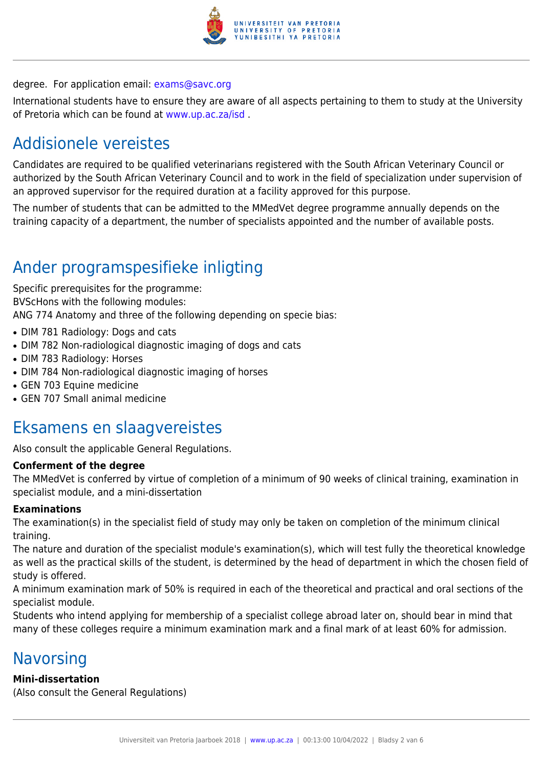

### degree. For application email: [exams@savc.org](mailto:exams@savc.org)

International students have to ensure they are aware of all aspects pertaining to them to study at the University of Pretoria which can be found at [www.up.ac.za/isd](http://www.up.ac.za/isd) .

# Addisionele vereistes

Candidates are required to be qualified veterinarians registered with the South African Veterinary Council or authorized by the South African Veterinary Council and to work in the field of specialization under supervision of an approved supervisor for the required duration at a facility approved for this purpose.

The number of students that can be admitted to the MMedVet degree programme annually depends on the training capacity of a department, the number of specialists appointed and the number of available posts.

## Ander programspesifieke inligting

Specific prerequisites for the programme: BVScHons with the following modules: ANG 774 Anatomy and three of the following depending on specie bias:

- DIM 781 Radiology: Dogs and cats
- DIM 782 Non-radiological diagnostic imaging of dogs and cats
- DIM 783 Radiology: Horses
- DIM 784 Non-radiological diagnostic imaging of horses
- GEN 703 Equine medicine
- GEN 707 Small animal medicine

### Eksamens en slaagvereistes

Also consult the applicable General Regulations.

#### **Conferment of the degree**

The MMedVet is conferred by virtue of completion of a minimum of 90 weeks of clinical training, examination in specialist module, and a mini-dissertation

#### **Examinations**

The examination(s) in the specialist field of study may only be taken on completion of the minimum clinical training.

The nature and duration of the specialist module's examination(s), which will test fully the theoretical knowledge as well as the practical skills of the student, is determined by the head of department in which the chosen field of study is offered.

A minimum examination mark of 50% is required in each of the theoretical and practical and oral sections of the specialist module.

Students who intend applying for membership of a specialist college abroad later on, should bear in mind that many of these colleges require a minimum examination mark and a final mark of at least 60% for admission.

### **Navorsing**

#### **Mini-dissertation**

(Also consult the General Regulations)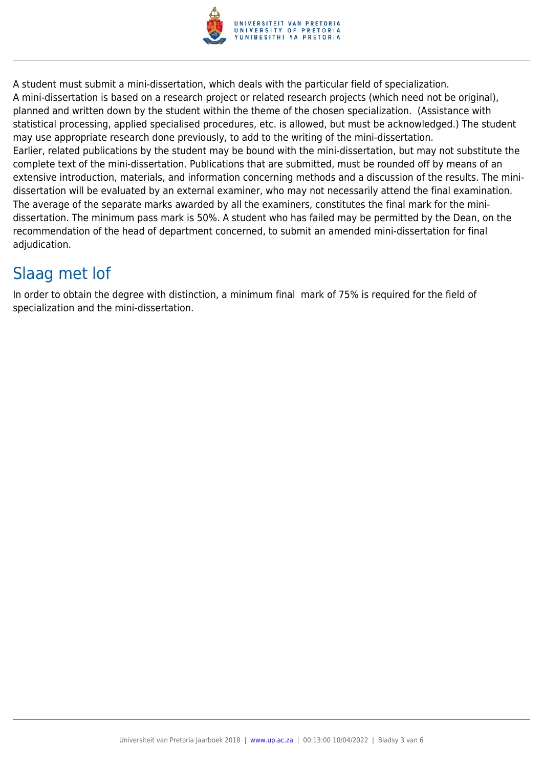

A student must submit a mini-dissertation, which deals with the particular field of specialization. A mini-dissertation is based on a research project or related research projects (which need not be original), planned and written down by the student within the theme of the chosen specialization. (Assistance with statistical processing, applied specialised procedures, etc. is allowed, but must be acknowledged.) The student may use appropriate research done previously, to add to the writing of the mini-dissertation. Earlier, related publications by the student may be bound with the mini-dissertation, but may not substitute the complete text of the mini-dissertation. Publications that are submitted, must be rounded off by means of an extensive introduction, materials, and information concerning methods and a discussion of the results. The minidissertation will be evaluated by an external examiner, who may not necessarily attend the final examination. The average of the separate marks awarded by all the examiners, constitutes the final mark for the minidissertation. The minimum pass mark is 50%. A student who has failed may be permitted by the Dean, on the recommendation of the head of department concerned, to submit an amended mini-dissertation for final adjudication.

# Slaag met lof

In order to obtain the degree with distinction, a minimum final mark of 75% is required for the field of specialization and the mini-dissertation.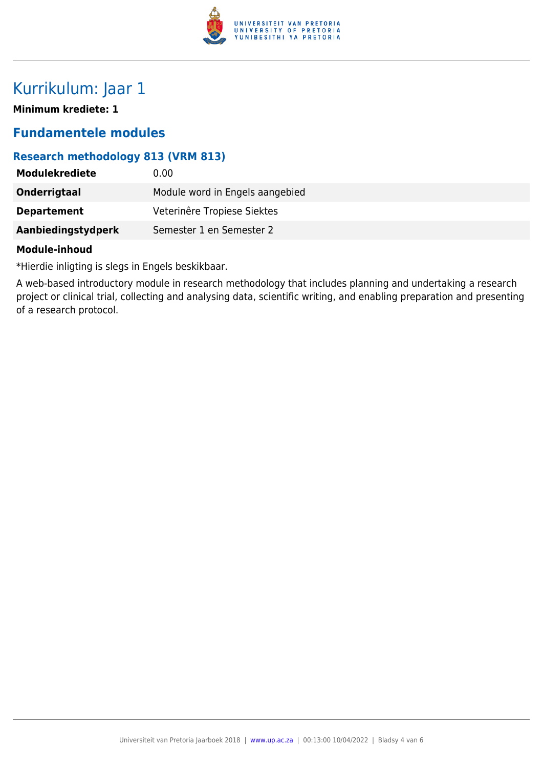

### Kurrikulum: Jaar 1

**Minimum krediete: 1**

### **Fundamentele modules**

### **Research methodology 813 (VRM 813)**

| <b>Modulekrediete</b> | 0.00                            |
|-----------------------|---------------------------------|
| Onderrigtaal          | Module word in Engels aangebied |
| <b>Departement</b>    | Veterinêre Tropiese Siektes     |
| Aanbiedingstydperk    | Semester 1 en Semester 2        |

#### **Module-inhoud**

\*Hierdie inligting is slegs in Engels beskikbaar.

A web-based introductory module in research methodology that includes planning and undertaking a research project or clinical trial, collecting and analysing data, scientific writing, and enabling preparation and presenting of a research protocol.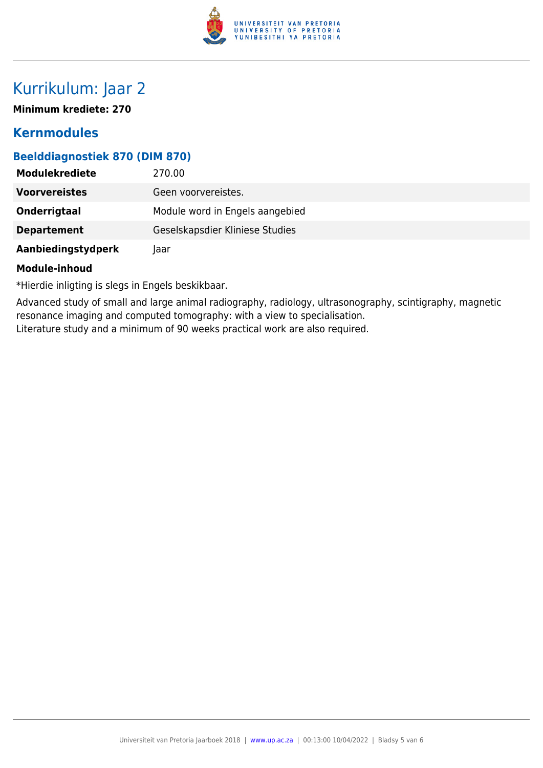

## Kurrikulum: Jaar 2

**Minimum krediete: 270**

### **Kernmodules**

#### **Beelddiagnostiek 870 (DIM 870)**

| <b>Modulekrediete</b> | 270.00                          |
|-----------------------|---------------------------------|
| <b>Voorvereistes</b>  | Geen voorvereistes.             |
| Onderrigtaal          | Module word in Engels aangebied |
| <b>Departement</b>    | Geselskapsdier Kliniese Studies |
| Aanbiedingstydperk    | Jaar                            |

#### **Module-inhoud**

\*Hierdie inligting is slegs in Engels beskikbaar.

Advanced study of small and large animal radiography, radiology, ultrasonography, scintigraphy, magnetic resonance imaging and computed tomography: with a view to specialisation.

Literature study and a minimum of 90 weeks practical work are also required.